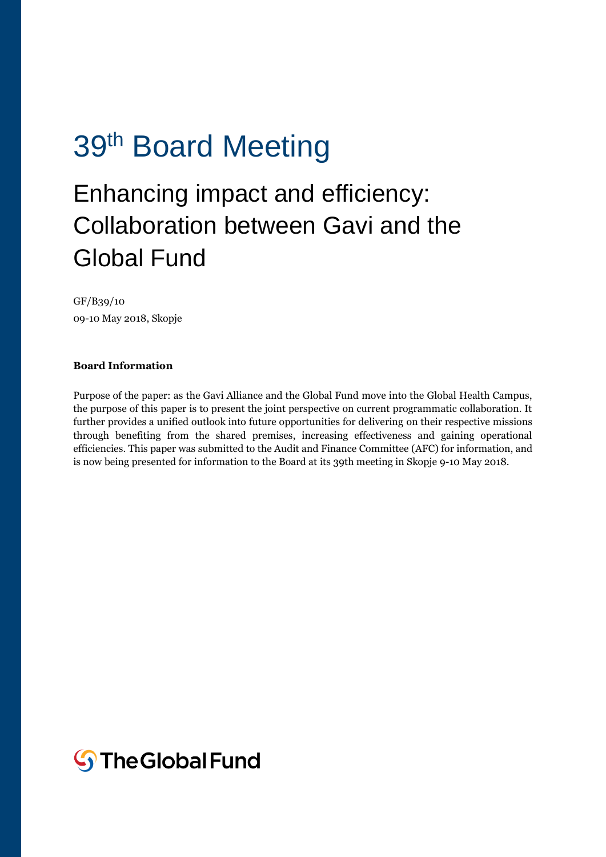# 39<sup>th</sup> Board Meeting

## Enhancing impact and efficiency: Collaboration between Gavi and the Global Fund

GF/B39/10 09-10 May 2018, Skopje

#### **Board Information**

Purpose of the paper: as the Gavi Alliance and the Global Fund move into the Global Health Campus, the purpose of this paper is to present the joint perspective on current programmatic collaboration. It further provides a unified outlook into future opportunities for delivering on their respective missions through benefiting from the shared premises, increasing effectiveness and gaining operational efficiencies. This paper was submitted to the Audit and Finance Committee (AFC) for information, and is now being presented for information to the Board at its 39th meeting in Skopje 9-10 May 2018.

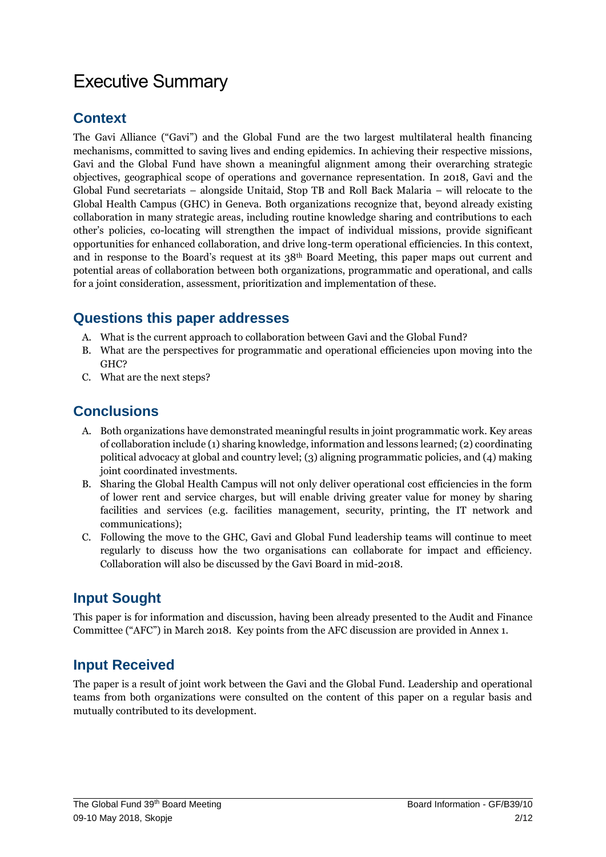### Executive Summary

#### **Context**

The Gavi Alliance ("Gavi") and the Global Fund are the two largest multilateral health financing mechanisms, committed to saving lives and ending epidemics. In achieving their respective missions, Gavi and the Global Fund have shown a meaningful alignment among their overarching strategic objectives, geographical scope of operations and governance representation. In 2018, Gavi and the Global Fund secretariats – alongside Unitaid, Stop TB and Roll Back Malaria – will relocate to the Global Health Campus (GHC) in Geneva. Both organizations recognize that, beyond already existing collaboration in many strategic areas, including routine knowledge sharing and contributions to each other's policies, co-locating will strengthen the impact of individual missions, provide significant opportunities for enhanced collaboration, and drive long-term operational efficiencies. In this context, and in response to the Board's request at its  $38<sup>th</sup>$  Board Meeting, this paper maps out current and potential areas of collaboration between both organizations, programmatic and operational, and calls for a joint consideration, assessment, prioritization and implementation of these.

#### **Questions this paper addresses**

- A. What is the current approach to collaboration between Gavi and the Global Fund?
- B. What are the perspectives for programmatic and operational efficiencies upon moving into the GHC?
- C. What are the next steps?

### **Conclusions**

- A. Both organizations have demonstrated meaningful results in joint programmatic work. Key areas of collaboration include (1) sharing knowledge, information and lessons learned; (2) coordinating political advocacy at global and country level; (3) aligning programmatic policies, and (4) making joint coordinated investments.
- B. Sharing the Global Health Campus will not only deliver operational cost efficiencies in the form of lower rent and service charges, but will enable driving greater value for money by sharing facilities and services (e.g. facilities management, security, printing, the IT network and communications);
- C. Following the move to the GHC, Gavi and Global Fund leadership teams will continue to meet regularly to discuss how the two organisations can collaborate for impact and efficiency. Collaboration will also be discussed by the Gavi Board in mid-2018.

### **Input Sought**

This paper is for information and discussion, having been already presented to the Audit and Finance Committee ("AFC") in March 2018. Key points from the AFC discussion are provided in Annex 1.

### **Input Received**

The paper is a result of joint work between the Gavi and the Global Fund. Leadership and operational teams from both organizations were consulted on the content of this paper on a regular basis and mutually contributed to its development.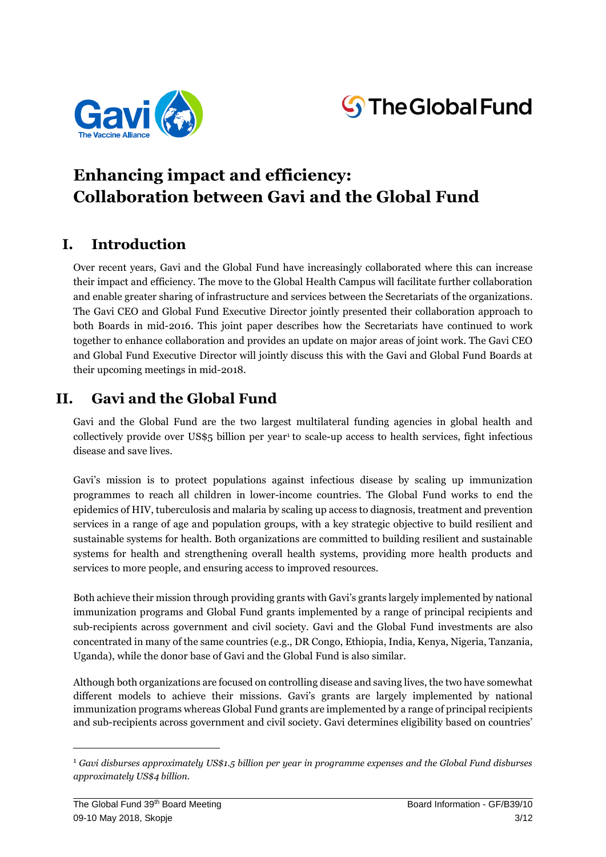



### **Enhancing impact and efficiency: Collaboration between Gavi and the Global Fund**

### **I. Introduction**

Over recent years, Gavi and the Global Fund have increasingly collaborated where this can increase their impact and efficiency. The move to the Global Health Campus will facilitate further collaboration and enable greater sharing of infrastructure and services between the Secretariats of the organizations. The Gavi CEO and Global Fund Executive Director jointly presented their collaboration approach to both Boards in mid-2016. This joint paper describes how the Secretariats have continued to work together to enhance collaboration and provides an update on major areas of joint work. The Gavi CEO and Global Fund Executive Director will jointly discuss this with the Gavi and Global Fund Boards at their upcoming meetings in mid-2018.

### **II. Gavi and the Global Fund**

Gavi and the Global Fund are the two largest multilateral funding agencies in global health and collectively provide over US\$5 billion per year<sup>1</sup> to scale-up access to health services, fight infectious disease and save lives.

Gavi's mission is to protect populations against infectious disease by scaling up immunization programmes to reach all children in lower-income countries. The Global Fund works to end the epidemics of HIV, tuberculosis and malaria by scaling up access to diagnosis, treatment and prevention services in a range of age and population groups, with a key strategic objective to build resilient and sustainable systems for health. Both organizations are committed to building resilient and sustainable systems for health and strengthening overall health systems, providing more health products and services to more people, and ensuring access to improved resources.

Both achieve their mission through providing grants with Gavi's grants largely implemented by national immunization programs and Global Fund grants implemented by a range of principal recipients and sub-recipients across government and civil society. Gavi and the Global Fund investments are also concentrated in many of the same countries (e.g., DR Congo, Ethiopia, India, Kenya, Nigeria, Tanzania, Uganda), while the donor base of Gavi and the Global Fund is also similar.

Although both organizations are focused on controlling disease and saving lives, the two have somewhat different models to achieve their missions. Gavi's grants are largely implemented by national immunization programs whereas Global Fund grants are implemented by a range of principal recipients and sub-recipients across government and civil society. Gavi determines eligibility based on countries'

**.** 

<sup>1</sup> *Gavi disburses approximately US\$1.5 billion per year in programme expenses and the Global Fund disburses approximately US\$4 billion.*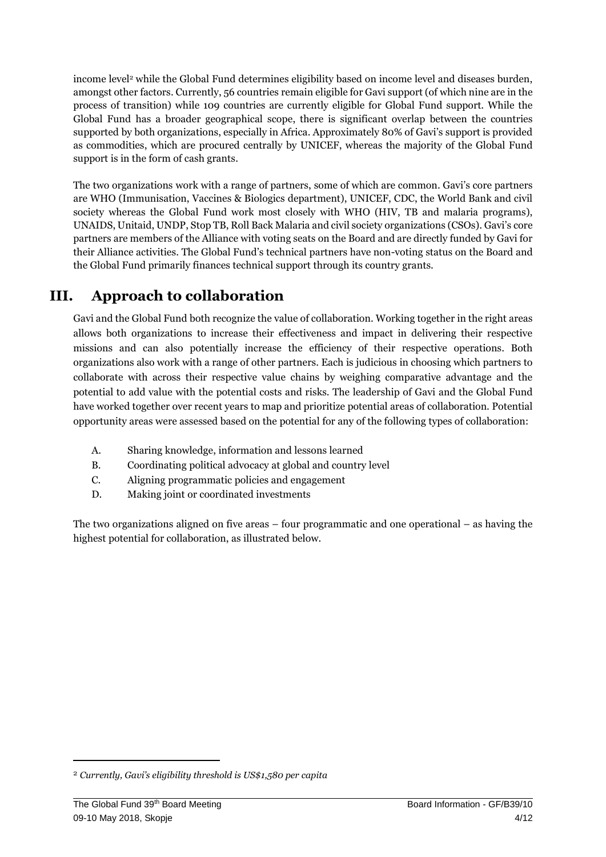income level<sup>2</sup> while the Global Fund determines eligibility based on income level and diseases burden, amongst other factors. Currently, 56 countries remain eligible for Gavi support (of which nine are in the process of transition) while 109 countries are currently eligible for Global Fund support. While the Global Fund has a broader geographical scope, there is significant overlap between the countries supported by both organizations, especially in Africa. Approximately 80% of Gavi's support is provided as commodities, which are procured centrally by UNICEF, whereas the majority of the Global Fund support is in the form of cash grants.

The two organizations work with a range of partners, some of which are common. Gavi's core partners are WHO (Immunisation, Vaccines & Biologics department), UNICEF, CDC, the World Bank and civil society whereas the Global Fund work most closely with WHO (HIV, TB and malaria programs), UNAIDS, Unitaid, UNDP, Stop TB, Roll Back Malaria and civil society organizations (CSOs). Gavi's core partners are members of the Alliance with voting seats on the Board and are directly funded by Gavi for their Alliance activities. The Global Fund's technical partners have non-voting status on the Board and the Global Fund primarily finances technical support through its country grants.

### **III. Approach to collaboration**

Gavi and the Global Fund both recognize the value of collaboration. Working together in the right areas allows both organizations to increase their effectiveness and impact in delivering their respective missions and can also potentially increase the efficiency of their respective operations. Both organizations also work with a range of other partners. Each is judicious in choosing which partners to collaborate with across their respective value chains by weighing comparative advantage and the potential to add value with the potential costs and risks. The leadership of Gavi and the Global Fund have worked together over recent years to map and prioritize potential areas of collaboration. Potential opportunity areas were assessed based on the potential for any of the following types of collaboration:

- A. Sharing knowledge, information and lessons learned
- B. Coordinating political advocacy at global and country level
- C. Aligning programmatic policies and engagement
- D. Making joint or coordinated investments

The two organizations aligned on five areas – four programmatic and one operational – as having the highest potential for collaboration, as illustrated below.

 $\overline{a}$ 

<sup>2</sup> *Currently, Gavi's eligibility threshold is US\$1,580 per capita*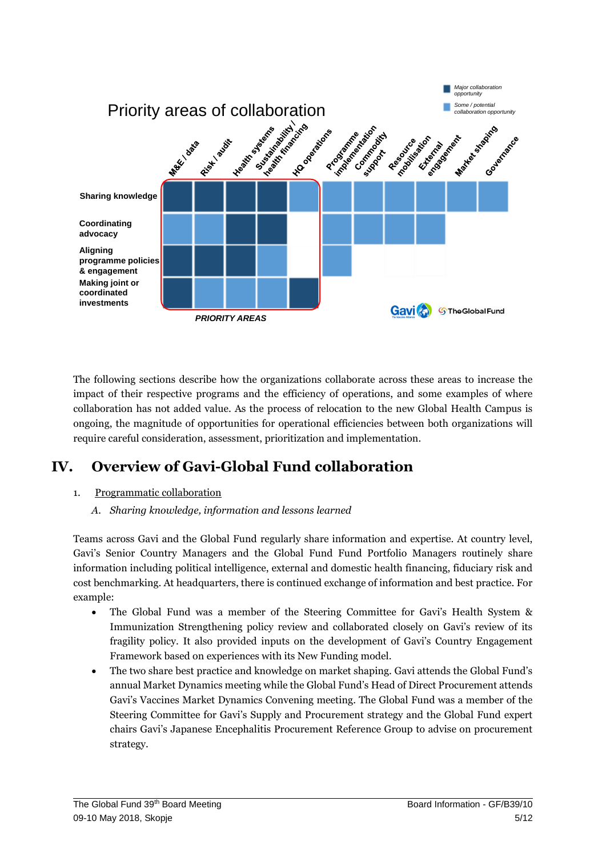

The following sections describe how the organizations collaborate across these areas to increase the impact of their respective programs and the efficiency of operations, and some examples of where collaboration has not added value. As the process of relocation to the new Global Health Campus is ongoing, the magnitude of opportunities for operational efficiencies between both organizations will require careful consideration, assessment, prioritization and implementation.

### **IV. Overview of Gavi-Global Fund collaboration**

#### 1. Programmatic collaboration

*A. Sharing knowledge, information and lessons learned*

Teams across Gavi and the Global Fund regularly share information and expertise. At country level, Gavi's Senior Country Managers and the Global Fund Fund Portfolio Managers routinely share information including political intelligence, external and domestic health financing, fiduciary risk and cost benchmarking. At headquarters, there is continued exchange of information and best practice. For example:

- The Global Fund was a member of the Steering Committee for Gavi's Health System & Immunization Strengthening policy review and collaborated closely on Gavi's review of its fragility policy. It also provided inputs on the development of Gavi's Country Engagement Framework based on experiences with its New Funding model.
- The two share best practice and knowledge on market shaping. Gavi attends the Global Fund's annual Market Dynamics meeting while the Global Fund's Head of Direct Procurement attends Gavi's Vaccines Market Dynamics Convening meeting. The Global Fund was a member of the Steering Committee for Gavi's Supply and Procurement strategy and the Global Fund expert chairs Gavi's Japanese Encephalitis Procurement Reference Group to advise on procurement strategy.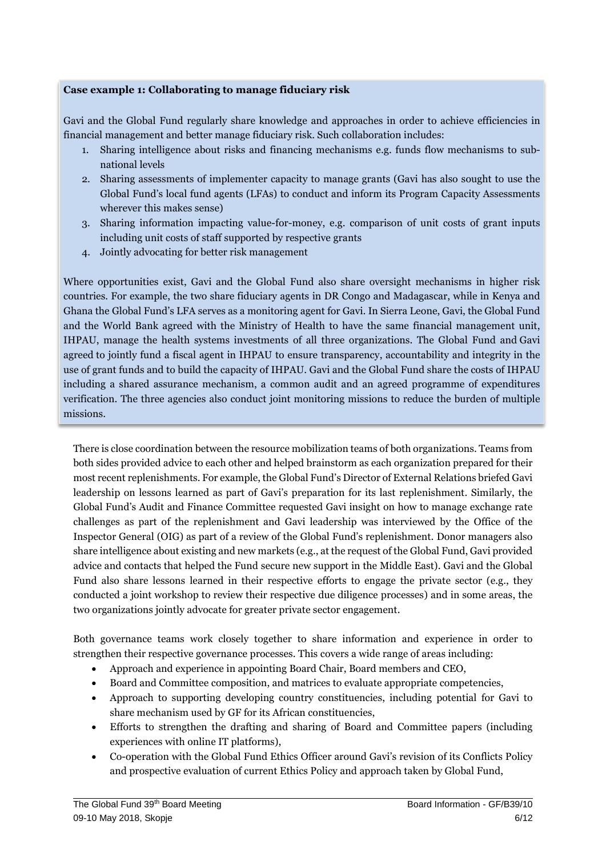#### **Case example 1: Collaborating to manage fiduciary risk**

Gavi and the Global Fund regularly share knowledge and approaches in order to achieve efficiencies in financial management and better manage fiduciary risk. Such collaboration includes:

- 1. Sharing intelligence about risks and financing mechanisms e.g. funds flow mechanisms to subnational levels
- 2. Sharing assessments of implementer capacity to manage grants (Gavi has also sought to use the Global Fund's local fund agents (LFAs) to conduct and inform its Program Capacity Assessments wherever this makes sense)
- 3. Sharing information impacting value-for-money, e.g. comparison of unit costs of grant inputs including unit costs of staff supported by respective grants
- 4. Jointly advocating for better risk management

Where opportunities exist, Gavi and the Global Fund also share oversight mechanisms in higher risk countries. For example, the two share fiduciary agents in DR Congo and Madagascar, while in Kenya and Ghana the Global Fund's LFA serves as a monitoring agent for Gavi. In Sierra Leone, Gavi, the Global Fund and the World Bank agreed with the Ministry of Health to have the same financial management unit, IHPAU, manage the health systems investments of all three organizations. The Global Fund and Gavi agreed to jointly fund a fiscal agent in IHPAU to ensure transparency, accountability and integrity in the use of grant funds and to build the capacity of IHPAU. Gavi and the Global Fund share the costs of IHPAU including a shared assurance mechanism, a common audit and an agreed programme of expenditures verification. The three agencies also conduct joint monitoring missions to reduce the burden of multiple missions.

There is close coordination between the resource mobilization teams of both organizations. Teams from both sides provided advice to each other and helped brainstorm as each organization prepared for their most recent replenishments. For example, the Global Fund's Director of External Relations briefed Gavi leadership on lessons learned as part of Gavi's preparation for its last replenishment. Similarly, the Global Fund's Audit and Finance Committee requested Gavi insight on how to manage exchange rate challenges as part of the replenishment and Gavi leadership was interviewed by the Office of the Inspector General (OIG) as part of a review of the Global Fund's replenishment. Donor managers also share intelligence about existing and new markets (e.g., at the request of the Global Fund, Gavi provided advice and contacts that helped the Fund secure new support in the Middle East). Gavi and the Global Fund also share lessons learned in their respective efforts to engage the private sector (e.g., they conducted a joint workshop to review their respective due diligence processes) and in some areas, the two organizations jointly advocate for greater private sector engagement.

Both governance teams work closely together to share information and experience in order to strengthen their respective governance processes. This covers a wide range of areas including:

- Approach and experience in appointing Board Chair, Board members and CEO,
- Board and Committee composition, and matrices to evaluate appropriate competencies,
- Approach to supporting developing country constituencies, including potential for Gavi to share mechanism used by GF for its African constituencies,
- Efforts to strengthen the drafting and sharing of Board and Committee papers (including experiences with online IT platforms),
- Co-operation with the Global Fund Ethics Officer around Gavi's revision of its Conflicts Policy and prospective evaluation of current Ethics Policy and approach taken by Global Fund,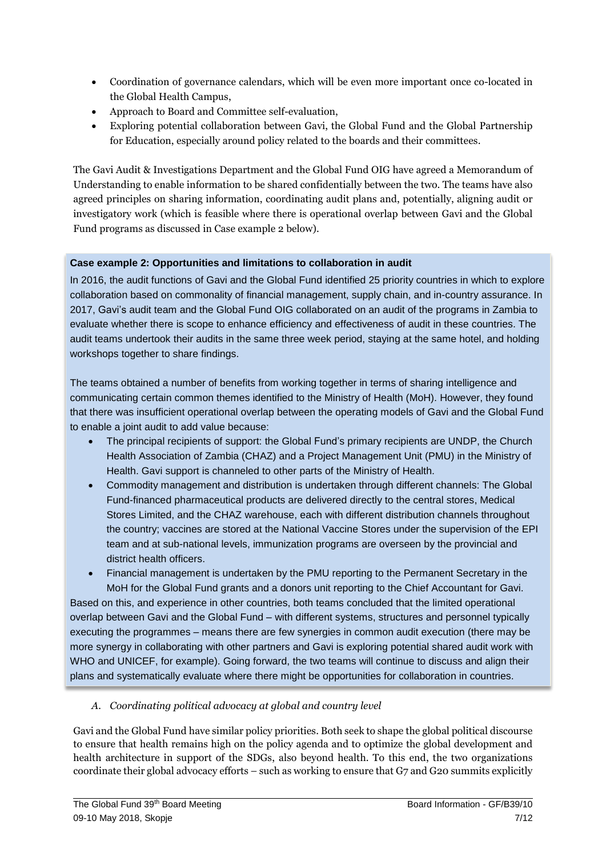- Coordination of governance calendars, which will be even more important once co-located in the Global Health Campus,
- Approach to Board and Committee self-evaluation,
- Exploring potential collaboration between Gavi, the Global Fund and the Global Partnership for Education, especially around policy related to the boards and their committees.

The Gavi Audit & Investigations Department and the Global Fund OIG have agreed a Memorandum of Understanding to enable information to be shared confidentially between the two. The teams have also agreed principles on sharing information, coordinating audit plans and, potentially, aligning audit or investigatory work (which is feasible where there is operational overlap between Gavi and the Global Fund programs as discussed in Case example 2 below).

#### **Case example 2: Opportunities and limitations to collaboration in audit**

In 2016, the audit functions of Gavi and the Global Fund identified 25 priority countries in which to explore collaboration based on commonality of financial management, supply chain, and in-country assurance. In 2017, Gavi's audit team and the Global Fund OIG collaborated on an audit of the programs in Zambia to evaluate whether there is scope to enhance efficiency and effectiveness of audit in these countries. The audit teams undertook their audits in the same three week period, staying at the same hotel, and holding workshops together to share findings.

The teams obtained a number of benefits from working together in terms of sharing intelligence and communicating certain common themes identified to the Ministry of Health (MoH). However, they found that there was insufficient operational overlap between the operating models of Gavi and the Global Fund to enable a joint audit to add value because:

- The principal recipients of support: the Global Fund's primary recipients are UNDP, the Church Health Association of Zambia (CHAZ) and a Project Management Unit (PMU) in the Ministry of Health. Gavi support is channeled to other parts of the Ministry of Health.
- Commodity management and distribution is undertaken through different channels: The Global Fund-financed pharmaceutical products are delivered directly to the central stores, Medical Stores Limited, and the CHAZ warehouse, each with different distribution channels throughout the country; vaccines are stored at the National Vaccine Stores under the supervision of the EPI team and at sub-national levels, immunization programs are overseen by the provincial and district health officers.

 Financial management is undertaken by the PMU reporting to the Permanent Secretary in the MoH for the Global Fund grants and a donors unit reporting to the Chief Accountant for Gavi. Based on this, and experience in other countries, both teams concluded that the limited operational overlap between Gavi and the Global Fund – with different systems, structures and personnel typically executing the programmes – means there are few synergies in common audit execution (there may be more synergy in collaborating with other partners and Gavi is exploring potential shared audit work with WHO and UNICEF, for example). Going forward, the two teams will continue to discuss and align their plans and systematically evaluate where there might be opportunities for collaboration in countries.

#### *A. Coordinating political advocacy at global and country level*

Gavi and the Global Fund have similar policy priorities. Both seek to shape the global political discourse to ensure that health remains high on the policy agenda and to optimize the global development and health architecture in support of the SDGs, also beyond health. To this end, the two organizations coordinate their global advocacy efforts – such as working to ensure that G7 and G20 summits explicitly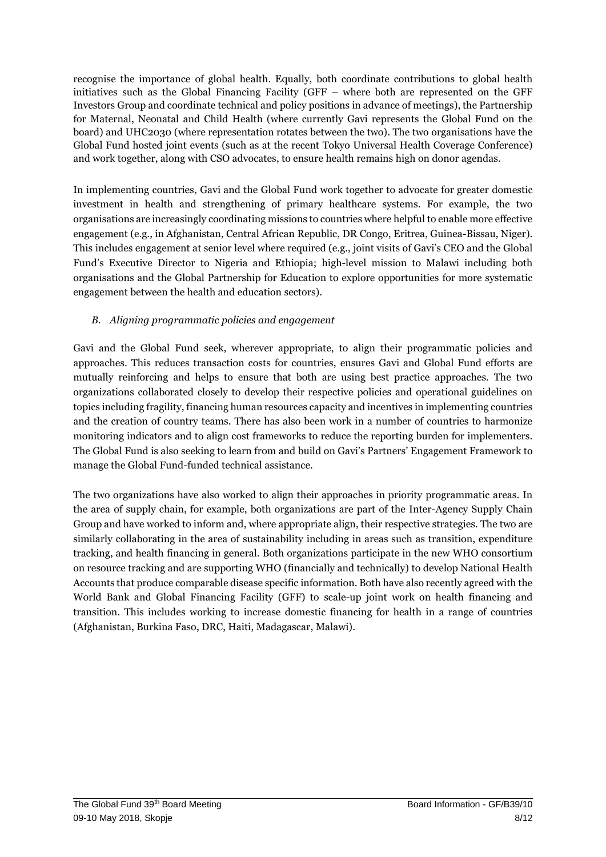recognise the importance of global health. Equally, both coordinate contributions to global health initiatives such as the Global Financing Facility (GFF – where both are represented on the GFF Investors Group and coordinate technical and policy positions in advance of meetings), the Partnership for Maternal, Neonatal and Child Health (where currently Gavi represents the Global Fund on the board) and UHC2030 (where representation rotates between the two). The two organisations have the Global Fund hosted joint events (such as at the recent Tokyo Universal Health Coverage Conference) and work together, along with CSO advocates, to ensure health remains high on donor agendas.

In implementing countries, Gavi and the Global Fund work together to advocate for greater domestic investment in health and strengthening of primary healthcare systems. For example, the two organisations are increasingly coordinating missions to countries where helpful to enable more effective engagement (e.g., in Afghanistan, Central African Republic, DR Congo, Eritrea, Guinea-Bissau, Niger). This includes engagement at senior level where required (e.g., joint visits of Gavi's CEO and the Global Fund's Executive Director to Nigeria and Ethiopia; high-level mission to Malawi including both organisations and the Global Partnership for Education to explore opportunities for more systematic engagement between the health and education sectors).

#### *B. Aligning programmatic policies and engagement*

Gavi and the Global Fund seek, wherever appropriate, to align their programmatic policies and approaches. This reduces transaction costs for countries, ensures Gavi and Global Fund efforts are mutually reinforcing and helps to ensure that both are using best practice approaches. The two organizations collaborated closely to develop their respective policies and operational guidelines on topics including fragility, financing human resources capacity and incentives in implementing countries and the creation of country teams. There has also been work in a number of countries to harmonize monitoring indicators and to align cost frameworks to reduce the reporting burden for implementers. The Global Fund is also seeking to learn from and build on Gavi's Partners' Engagement Framework to manage the Global Fund-funded technical assistance.

The two organizations have also worked to align their approaches in priority programmatic areas. In the area of supply chain, for example, both organizations are part of the Inter-Agency Supply Chain Group and have worked to inform and, where appropriate align, their respective strategies. The two are similarly collaborating in the area of sustainability including in areas such as transition, expenditure tracking, and health financing in general. Both organizations participate in the new WHO consortium on resource tracking and are supporting WHO (financially and technically) to develop National Health Accounts that produce comparable disease specific information. Both have also recently agreed with the World Bank and Global Financing Facility (GFF) to scale-up joint work on health financing and transition. This includes working to increase domestic financing for health in a range of countries (Afghanistan, Burkina Faso, DRC, Haiti, Madagascar, Malawi).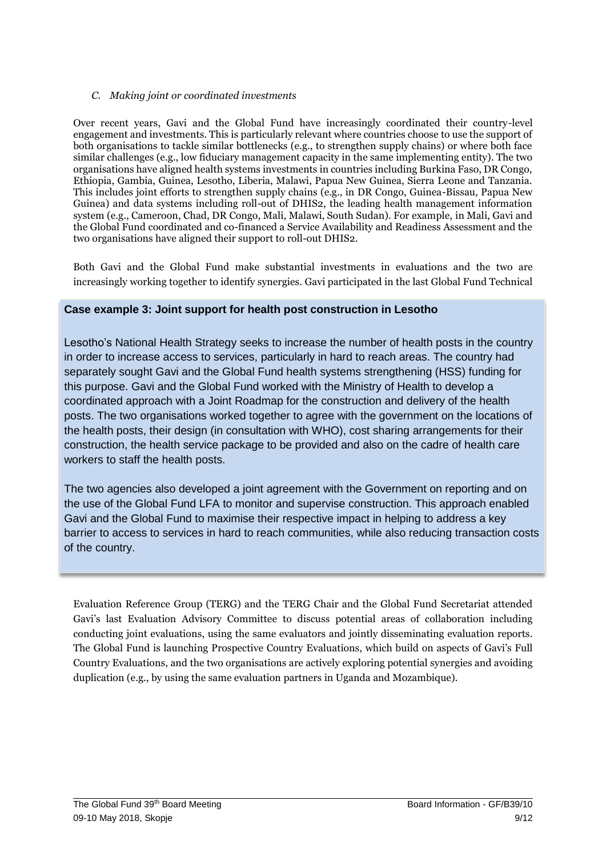#### *C. Making joint or coordinated investments*

Over recent years, Gavi and the Global Fund have increasingly coordinated their country-level engagement and investments. This is particularly relevant where countries choose to use the support of both organisations to tackle similar bottlenecks (e.g., to strengthen supply chains) or where both face similar challenges (e.g., low fiduciary management capacity in the same implementing entity). The two organisations have aligned health systems investments in countries including Burkina Faso, DR Congo, Ethiopia, Gambia, Guinea, Lesotho, Liberia, Malawi, Papua New Guinea, Sierra Leone and Tanzania. This includes joint efforts to strengthen supply chains (e.g., in DR Congo, Guinea-Bissau, Papua New Guinea) and data systems including roll-out of DHIS2, the leading health management information system (e.g., Cameroon, Chad, DR Congo, Mali, Malawi, South Sudan). For example, in Mali, Gavi and the Global Fund coordinated and co-financed a Service Availability and Readiness Assessment and the two organisations have aligned their support to roll-out DHIS2.

Both Gavi and the Global Fund make substantial investments in evaluations and the two are increasingly working together to identify synergies. Gavi participated in the last Global Fund Technical

#### **Case example 3: Joint support for health post construction in Lesotho**

Lesotho's National Health Strategy seeks to increase the number of health posts in the country in order to increase access to services, particularly in hard to reach areas. The country had separately sought Gavi and the Global Fund health systems strengthening (HSS) funding for this purpose. Gavi and the Global Fund worked with the Ministry of Health to develop a coordinated approach with a Joint Roadmap for the construction and delivery of the health posts. The two organisations worked together to agree with the government on the locations of the health posts, their design (in consultation with WHO), cost sharing arrangements for their construction, the health service package to be provided and also on the cadre of health care workers to staff the health posts.

The two agencies also developed a joint agreement with the Government on reporting and on the use of the Global Fund LFA to monitor and supervise construction. This approach enabled Gavi and the Global Fund to maximise their respective impact in helping to address a key barrier to access to services in hard to reach communities, while also reducing transaction costs of the country.

Evaluation Reference Group (TERG) and the TERG Chair and the Global Fund Secretariat attended Gavi's last Evaluation Advisory Committee to discuss potential areas of collaboration including conducting joint evaluations, using the same evaluators and jointly disseminating evaluation reports. The Global Fund is launching Prospective Country Evaluations, which build on aspects of Gavi's Full Country Evaluations, and the two organisations are actively exploring potential synergies and avoiding duplication (e.g., by using the same evaluation partners in Uganda and Mozambique).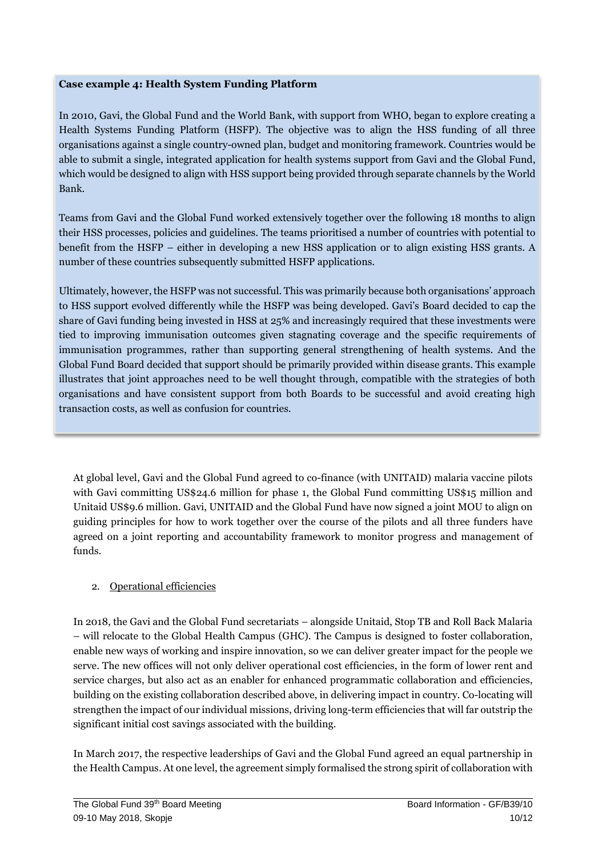#### **Case example 4: Health System Funding Platform**

In 2010, Gavi, the Global Fund and the World Bank, with support from WHO, began to explore creating a Health Systems Funding Platform (HSFP). The objective was to align the HSS funding of all three organisations against a single country-owned plan, budget and monitoring framework. Countries would be able to submit a single, integrated application for health systems support from Gavi and the Global Fund, which would be designed to align with HSS support being provided through separate channels by the World Bank.

Teams from Gavi and the Global Fund worked extensively together over the following 18 months to align their HSS processes, policies and guidelines. The teams prioritised a number of countries with potential to benefit from the HSFP – either in developing a new HSS application or to align existing HSS grants. A number of these countries subsequently submitted HSFP applications.

Ultimately, however, the HSFP was not successful. This was primarily because both organisations' approach to HSS support evolved differently while the HSFP was being developed. Gavi's Board decided to cap the share of Gavi funding being invested in HSS at 25% and increasingly required that these investments were tied to improving immunisation outcomes given stagnating coverage and the specific requirements of immunisation programmes, rather than supporting general strengthening of health systems. And the Global Fund Board decided that support should be primarily provided within disease grants. This example illustrates that joint approaches need to be well thought through, compatible with the strategies of both organisations and have consistent support from both Boards to be successful and avoid creating high transaction costs, as well as confusion for countries.

At global level, Gavi and the Global Fund agreed to co-finance (with UNITAID) malaria vaccine pilots with Gavi committing US\$24.6 million for phase 1, the Global Fund committing US\$15 million and Unitaid US\$9.6 million. Gavi, UNITAID and the Global Fund have now signed a joint MOU to align on guiding principles for how to work together over the course of the pilots and all three funders have agreed on a joint reporting and accountability framework to monitor progress and management of funds.

#### 2. Operational efficiencies

In 2018, the Gavi and the Global Fund secretariats – alongside Unitaid, Stop TB and Roll Back Malaria – will relocate to the Global Health Campus (GHC). The Campus is designed to foster collaboration, enable new ways of working and inspire innovation, so we can deliver greater impact for the people we serve. The new offices will not only deliver operational cost efficiencies, in the form of lower rent and service charges, but also act as an enabler for enhanced programmatic collaboration and efficiencies, building on the existing collaboration described above, in delivering impact in country. Co-locating will strengthen the impact of our individual missions, driving long-term efficiencies that will far outstrip the significant initial cost savings associated with the building.

In March 2017, the respective leaderships of Gavi and the Global Fund agreed an equal partnership in the Health Campus. At one level, the agreement simply formalised the strong spirit of collaboration with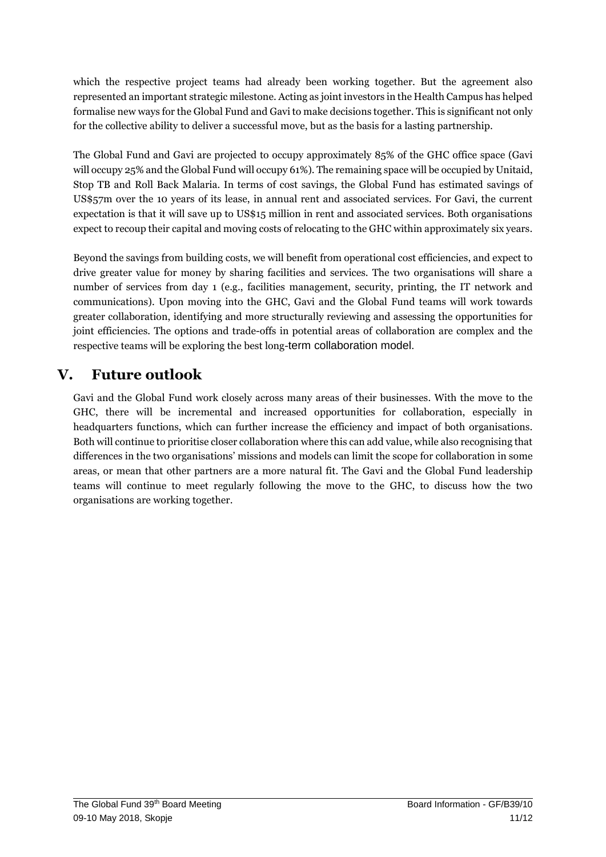which the respective project teams had already been working together. But the agreement also represented an important strategic milestone. Acting as joint investors in the Health Campus has helped formalise new ways for the Global Fund and Gavi to make decisions together. This is significant not only for the collective ability to deliver a successful move, but as the basis for a lasting partnership.

The Global Fund and Gavi are projected to occupy approximately 85% of the GHC office space (Gavi will occupy 25% and the Global Fund will occupy 61%). The remaining space will be occupied by Unitaid, Stop TB and Roll Back Malaria. In terms of cost savings, the Global Fund has estimated savings of US\$57m over the 10 years of its lease, in annual rent and associated services. For Gavi, the current expectation is that it will save up to US\$15 million in rent and associated services. Both organisations expect to recoup their capital and moving costs of relocating to the GHC within approximately six years.

Beyond the savings from building costs, we will benefit from operational cost efficiencies, and expect to drive greater value for money by sharing facilities and services. The two organisations will share a number of services from day 1 (e.g., facilities management, security, printing, the IT network and communications). Upon moving into the GHC, Gavi and the Global Fund teams will work towards greater collaboration, identifying and more structurally reviewing and assessing the opportunities for joint efficiencies. The options and trade-offs in potential areas of collaboration are complex and the respective teams will be exploring the best long-term collaboration model.

### **V. Future outlook**

Gavi and the Global Fund work closely across many areas of their businesses. With the move to the GHC, there will be incremental and increased opportunities for collaboration, especially in headquarters functions, which can further increase the efficiency and impact of both organisations. Both will continue to prioritise closer collaboration where this can add value, while also recognising that differences in the two organisations' missions and models can limit the scope for collaboration in some areas, or mean that other partners are a more natural fit. The Gavi and the Global Fund leadership teams will continue to meet regularly following the move to the GHC, to discuss how the two organisations are working together.